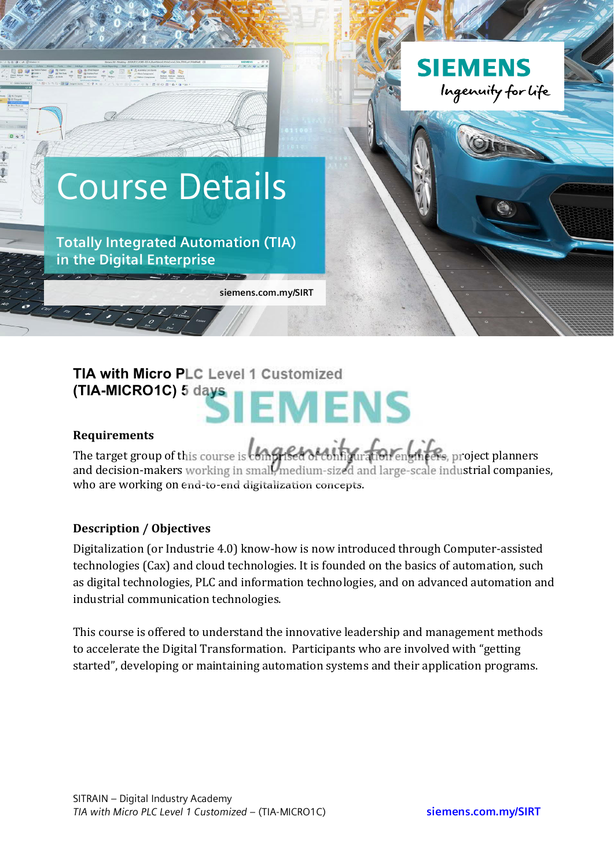

# **TIA with Micro PLC Level 1 Customized (TIA-MICRO1C) 5 days EMENS**

#### **Requirements**

The target group of this course is completed of configuration engineers, project planners and decision-makers working in small, medium-sized and large-scale industrial companies, who are working on end-to-end digitalization concepts.

#### **Description / Objectives**

Digitalization (or Industrie 4.0) know-how is now introduced through Computer-assisted technologies (Cax) and cloud technologies. It is founded on the basics of automation, such as digital technologies, PLC and information technologies, and on advanced automation and industrial communication technologies.

This course is offered to understand the innovative leadership and management methods to accelerate the Digital Transformation. Participants who are involved with "getting started", developing or maintaining automation systems and their application programs.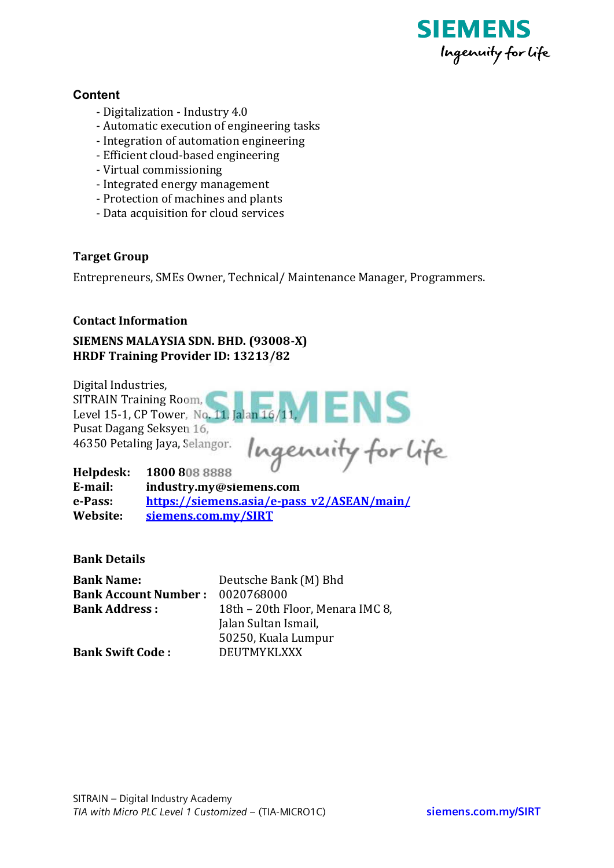

#### **Content**

- Digitalization Industry 4.0
- Automatic execution of engineering tasks
- Integration of automation engineering
- Efficient cloud-based engineering
- Virtual commissioning
- Integrated energy management
- Protection of machines and plants
- Data acquisition for cloud services

## **Target Group**

Entrepreneurs, SMEs Owner, Technical/Maintenance Manager, Programmers.

#### **Contact Information**

## SIEMENS MALAYSIA SDN. BHD. (93008-X) **HRDF Training Provider ID: 13213/82**

Digital Industries.

**SITRAIN Training Room,** Level 15-1, CP Tower, No. 11, Jalan 16/11, Pusat Dagang Seksyen 16, 46350 Petaling Jaya, Selangor.

Ingenuity for life

Helpdesk: 1800 808 8888 E-mail: industry.my@siemens.com e-Pass: https://siemens.asia/e-pass v2/ASEAN/main/ Website: siemens.com.my/SIRT

**Bank Details** 

| <b>Bank Name:</b>           | Deutsche Bank (M) Bhd            |
|-----------------------------|----------------------------------|
| <b>Bank Account Number:</b> | 0020768000                       |
| <b>Bank Address:</b>        | 18th - 20th Floor, Menara IMC 8, |
|                             | Jalan Sultan Ismail,             |
|                             | 50250, Kuala Lumpur              |
| <b>Bank Swift Code:</b>     | DEUTMYKLXXX                      |